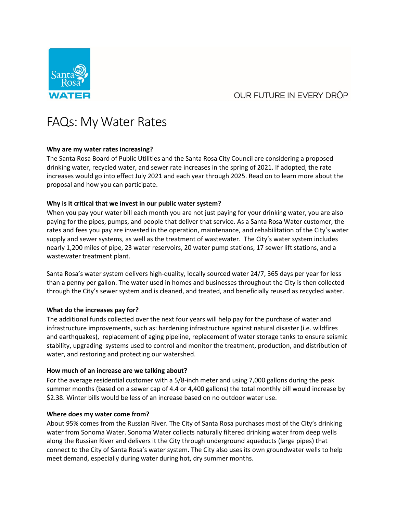# OUR FUTURE IN EVERY DROP



# FAQs: My Water Rates

## **Why are my water rates increasing?**

The Santa Rosa Board of Public Utilities and the Santa Rosa City Council are considering a proposed drinking water, recycled water, and sewer rate increases in the spring of 2021. If adopted, the rate increases would go into effect July 2021 and each year through 2025. Read on to learn more about the proposal and how you can participate.

## **Why is it critical that we invest in our public water system?**

When you pay your water bill each month you are not just paying for your drinking water, you are also paying for the pipes, pumps, and people that deliver that service. As a Santa Rosa Water customer, the rates and fees you pay are invested in the operation, maintenance, and rehabilitation of the City's water supply and sewer systems, as well as the treatment of wastewater. The City's water system includes nearly 1,200 miles of pipe, 23 water reservoirs, 20 water pump stations, 17 sewer lift stations, and a wastewater treatment plant.

Santa Rosa's water system delivers high-quality, locally sourced water 24/7, 365 days per year for less than a penny per gallon. The water used in homes and businesses throughout the City is then collected through the City's sewer system and is cleaned, and treated, and beneficially reused as recycled water.

#### **What do the increases pay for?**

The additional funds collected over the next four years will help pay for the purchase of water and infrastructure improvements, such as: hardening infrastructure against natural disaster (i.e. wildfires and earthquakes), replacement of aging pipeline, replacement of water storage tanks to ensure seismic stability, upgrading systems used to control and monitor the treatment, production, and distribution of water, and restoring and protecting our watershed.

#### **How much of an increase are we talking about?**

For the average residential customer with a 5/8-inch meter and using 7,000 gallons during the peak summer months (based on a sewer cap of 4.4 or 4,400 gallons) the total monthly bill would increase by \$2.38. Winter bills would be less of an increase based on no outdoor water use.

#### **Where does my water come from?**

About 95% comes from the Russian River. The City of Santa Rosa purchases most of the City's drinking water from Sonoma Water. Sonoma Water collects naturally filtered drinking water from deep wells along the Russian River and delivers it the City through underground aqueducts (large pipes) that connect to the City of Santa Rosa's water system. The City also uses its own groundwater wells to help meet demand, especially during water during hot, dry summer months.